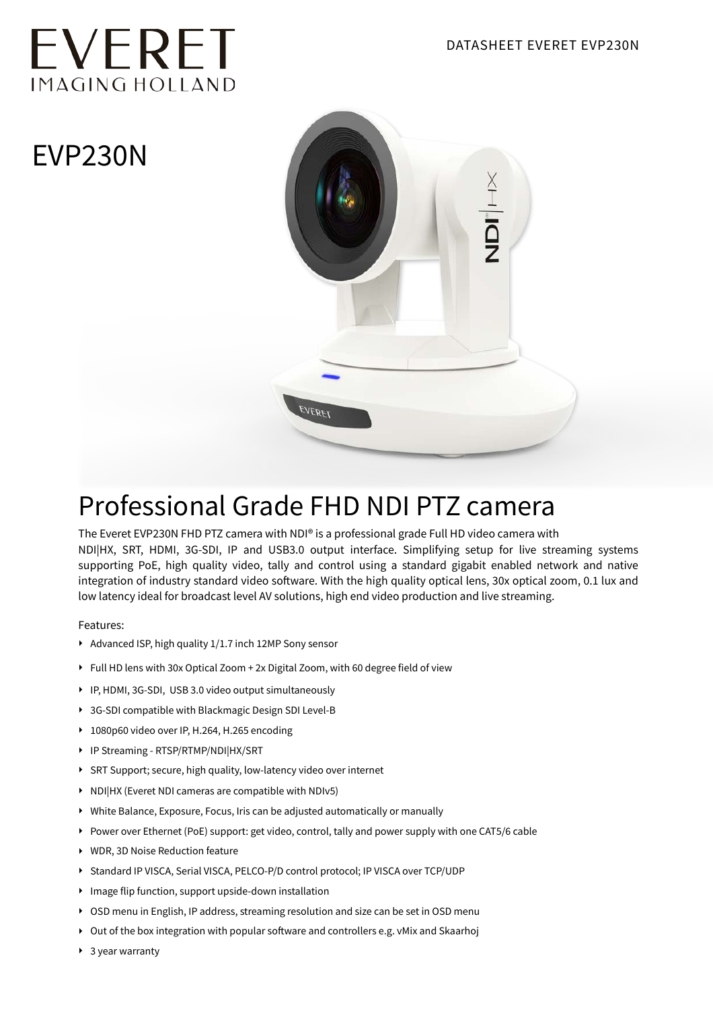# EVERET IMAGING HOLLAND

## EVP230N



### Professional Grade FHD NDI PTZ camera

The Everet EVP230N FHD PTZ camera with NDI® is a professional grade Full HD video camera with NDI|HX, SRT, HDMI, 3G-SDI, IP and USB3.0 output interface. Simplifying setup for live streaming systems supporting PoE, high quality video, tally and control using a standard gigabit enabled network and native integration of industry standard video software. With the high quality optical lens, 30x optical zoom, 0.1 lux and low latency ideal for broadcast level AV solutions, high end video production and live streaming.

Features:

- ‣ Advanced ISP, high quality 1/1.7 inch 12MP Sony sensor
- ‣ Full HD lens with 30x Optical Zoom + 2x Digital Zoom, with 60 degree field of view
- ‣ IP, HDMI, 3G-SDI, USB 3.0 video output simultaneously
- ‣ 3G-SDI compatible with Blackmagic Design SDI Level-B
- ‣ 1080p60 video over IP, H.264, H.265 encoding
- ‣ IP Streaming RTSP/RTMP/NDI|HX/SRT
- ‣ SRT Support; secure, high quality, low-latency video over internet
- ‣ NDI|HX (Everet NDI cameras are compatible with NDIv5)
- ‣ White Balance, Exposure, Focus, Iris can be adjusted automatically or manually
- ‣ Power over Ethernet (PoE) support: get video, control, tally and power supply with one CAT5/6 cable
- ‣ WDR, 3D Noise Reduction feature
- ‣ Standard IP VISCA, Serial VISCA, PELCO-P/D control protocol; IP VISCA over TCP/UDP
- ‣ Image flip function, support upside-down installation
- ‣ OSD menu in English, IP address, streaming resolution and size can be set in OSD menu
- ‣ Out of the box integration with popular software and controllers e.g. vMix and Skaarhoj
- ▶ 3 year warranty